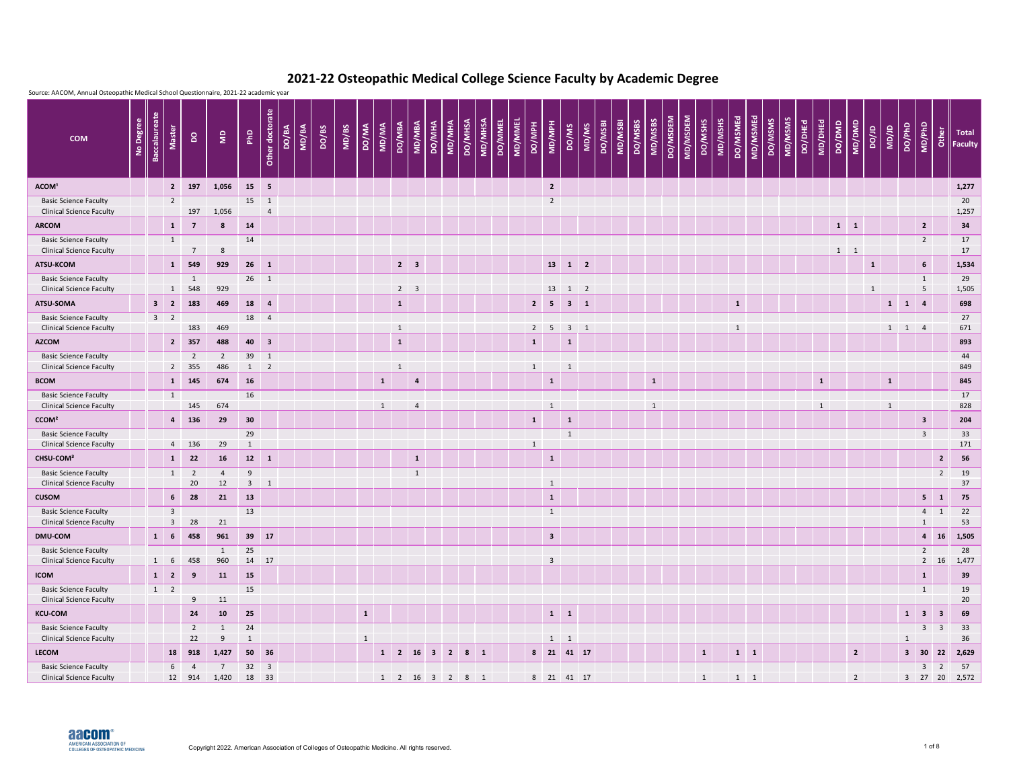| Source: AACOM, Annual Osteopathic Medical School Questionnaire, 2021-22 academic year |           |                      |                            |                       |                      |                  |                 |       |       |       |       |                |              |              |                |                                      |        |                                                      |         |                |                |                |                              |                           |       |         |         |         |              |          |          |              |                     |             |         |         |         |              |        |                |              |              |                     |                                   |                |                                              |
|---------------------------------------------------------------------------------------|-----------|----------------------|----------------------------|-----------------------|----------------------|------------------|-----------------|-------|-------|-------|-------|----------------|--------------|--------------|----------------|--------------------------------------|--------|------------------------------------------------------|---------|----------------|----------------|----------------|------------------------------|---------------------------|-------|---------|---------|---------|--------------|----------|----------|--------------|---------------------|-------------|---------|---------|---------|--------------|--------|----------------|--------------|--------------|---------------------|-----------------------------------|----------------|----------------------------------------------|
| <b>COM</b>                                                                            | No Degree | <b>Baccalaureate</b> | <b>Master</b>              | $\mathsf{S}$          | $\epsilon$           | PhD              | Other doctorate | DO/BA | MD/BA | DO/BS | MD/BS | <b>DO/MA</b>   | MD/MA        | DO/MBA       | <b>MD/MBA</b>  | DO/MHA                               | MD/MHA | <b>DO/MHSA</b>                                       | MD/MHSA | <b>DO/MMEL</b> | <b>MD/MMEL</b> | <b>HdM/Od</b>  | MD/MPH                       | DO/MS                     | MD/MS | DO/MSBI | MD/MSBI | DO/MSBS | MD/MSBS      | DO/MSDEM | MD/MSDEM | DO/MSHS      | DO/MSMEd<br>MD/MSHS | MD/MSMEd    | DO/MSMS | MD/MSMS | DO/DHEd | MD/DHEd      | DO/DMD | MD/DMD         | ar/oa        | <b>UD/JD</b> | DO/PhD              | MD/PhD                            |                | $\frac{b}{c}$ Total<br>$\frac{c}{c}$ Faculty |
| ACOM <sup>1</sup>                                                                     |           |                      | $\overline{2}$             | 197                   | 1,056                |                  | 15 5            |       |       |       |       |                |              |              |                |                                      |        |                                                      |         |                |                |                | $\overline{\mathbf{2}}$      |                           |       |         |         |         |              |          |          |              |                     |             |         |         |         |              |        |                |              |              |                     |                                   |                | 1,277                                        |
| <b>Basic Science Faculty</b><br><b>Clinical Science Faculty</b>                       |           |                      | $\overline{2}$             | 197                   | 1,056                | $15 \quad 1$     | $\overline{4}$  |       |       |       |       |                |              |              |                |                                      |        |                                                      |         |                |                |                | $\overline{2}$               |                           |       |         |         |         |              |          |          |              |                     |             |         |         |         |              |        |                |              |              |                     |                                   |                | 20<br>1,257                                  |
| <b>ARCOM</b>                                                                          |           |                      | $\mathbf{1}$               | $\overline{7}$        | 8                    | 14               |                 |       |       |       |       |                |              |              |                |                                      |        |                                                      |         |                |                |                |                              |                           |       |         |         |         |              |          |          |              |                     |             |         |         |         |              |        | $1 \quad 1$    |              |              |                     | $\overline{2}$                    |                | 34                                           |
| <b>Basic Science Faculty</b><br><b>Clinical Science Faculty</b>                       |           |                      | $\mathbf{1}$               | $\overline{7}$        | 8                    | 14               |                 |       |       |       |       |                |              |              |                |                                      |        |                                                      |         |                |                |                |                              |                           |       |         |         |         |              |          |          |              |                     |             |         |         |         |              |        | $1 \quad 1$    |              |              |                     | $\overline{2}$                    |                | 17<br>17                                     |
| ATSU-KCOM                                                                             |           |                      | $\mathbf{1}$               | 549                   | 929                  | $26 \quad 1$     |                 |       |       |       |       |                |              | $2 \quad 3$  |                |                                      |        |                                                      |         |                |                |                |                              | $13 \quad 1 \quad 2$      |       |         |         |         |              |          |          |              |                     |             |         |         |         |              |        |                | $\mathbf{1}$ |              |                     | 6 <sup>1</sup>                    |                | 1,534                                        |
| <b>Basic Science Faculty</b>                                                          |           |                      |                            | $\mathbf{1}$          |                      | $26 \t1$         |                 |       |       |       |       |                |              |              |                |                                      |        |                                                      |         |                |                |                |                              |                           |       |         |         |         |              |          |          |              |                     |             |         |         |         |              |        |                |              |              |                     | $\mathbf{1}$                      |                | 29                                           |
| <b>Clinical Science Faculty</b><br>ATSU-SOMA                                          |           |                      | $\mathbf{1}$<br>$3 \mid 2$ | 548<br>183            | 929<br>469           | 18 4             |                 |       |       |       |       |                |              | $2 \quad 3$  |                |                                      |        |                                                      |         |                |                | $\overline{2}$ | 13                           | $1 \quad 2$<br>$3 \mid 1$ |       |         |         |         |              |          |          |              | $\mathbf{1}$        |             |         |         |         |              |        |                | $\mathbf{1}$ |              | $\vert$ 1           | $5\phantom{.0}$<br>$\overline{4}$ |                | 1,505<br>698                                 |
| <b>Basic Science Faculty</b>                                                          |           |                      | $3 \quad 2$                |                       |                      | 18 4             |                 |       |       |       |       |                |              | $\mathbf{1}$ |                |                                      |        |                                                      |         |                |                |                | $\overline{\phantom{0}}$     |                           |       |         |         |         |              |          |          |              |                     |             |         |         |         |              |        |                |              | $\mathbf{1}$ |                     |                                   |                | 27                                           |
| <b>Clinical Science Faculty</b>                                                       |           |                      |                            | 183                   | 469                  |                  |                 |       |       |       |       |                |              | $\mathbf{1}$ |                |                                      |        |                                                      |         |                |                | $2 \quad 5$    |                              | $3 \quad 1$               |       |         |         |         |              |          |          |              | $\mathbf{1}$        |             |         |         |         |              |        |                |              |              | $1 \quad 1 \quad 4$ |                                   |                | 671                                          |
| <b>AZCOM</b>                                                                          |           |                      | $2^{\circ}$                | 357                   | 488                  | 40 3             |                 |       |       |       |       |                |              | $\mathbf{1}$ |                |                                      |        |                                                      |         |                |                | $\mathbf{1}$   |                              | $\mathbf{1}$              |       |         |         |         |              |          |          |              |                     |             |         |         |         |              |        |                |              |              |                     |                                   |                | 893                                          |
| <b>Basic Science Faculty</b><br><b>Clinical Science Faculty</b>                       |           |                      | $\overline{2}$             | $\overline{2}$<br>355 | 2<br>486             | 39 1             | $1 \quad 2$     |       |       |       |       |                |              | $\mathbf{1}$ |                |                                      |        |                                                      |         |                |                | $\mathbf{1}$   |                              | $\mathbf{1}$              |       |         |         |         |              |          |          |              |                     |             |         |         |         |              |        |                |              |              |                     |                                   |                | 44<br>849                                    |
| <b>BCOM</b>                                                                           |           |                      | 1                          | 145                   | 674                  | 16               |                 |       |       |       |       |                | $\mathbf{1}$ |              | $\overline{a}$ |                                      |        |                                                      |         |                |                |                | $\mathbf{1}$                 |                           |       |         |         |         | $\mathbf{1}$ |          |          |              |                     |             |         |         |         | $\mathbf{1}$ |        |                |              | $\mathbf{1}$ |                     |                                   |                | 845                                          |
| <b>Basic Science Faculty</b>                                                          |           |                      | $\mathbf{1}$               |                       |                      | 16               |                 |       |       |       |       |                |              |              |                |                                      |        |                                                      |         |                |                |                |                              |                           |       |         |         |         |              |          |          |              |                     |             |         |         |         |              |        |                |              |              |                     |                                   |                | 17                                           |
| <b>Clinical Science Faculty</b><br>CCOM <sup>2</sup>                                  |           |                      | $\overline{4}$             | 145<br>136            | 674<br>29            | 30               |                 |       |       |       |       |                | $\mathbf{1}$ |              | $\overline{4}$ |                                      |        |                                                      |         |                |                | $\mathbf{1}$   |                              | $\mathbf{1}$              |       |         |         |         | $\mathbf{1}$ |          |          |              |                     |             |         |         |         | $\mathbf{1}$ |        |                |              | $\mathbf{1}$ |                     | $\overline{\mathbf{3}}$           |                | 828<br>204                                   |
| <b>Basic Science Faculty</b>                                                          |           |                      |                            |                       |                      | 29               |                 |       |       |       |       |                |              |              |                |                                      |        |                                                      |         |                |                |                |                              | $\mathbf{1}$              |       |         |         |         |              |          |          |              |                     |             |         |         |         |              |        |                |              |              |                     | $\overline{\mathbf{3}}$           |                | 33                                           |
| <b>Clinical Science Faculty</b>                                                       |           |                      |                            | 4 136                 | 29                   | $\mathbf{1}$     |                 |       |       |       |       |                |              |              |                |                                      |        |                                                      |         |                |                | $\mathbf{1}$   |                              |                           |       |         |         |         |              |          |          |              |                     |             |         |         |         |              |        |                |              |              |                     |                                   |                | 171                                          |
| CHSU-COM <sup>3</sup>                                                                 |           |                      | $\mathbf{1}$               | 22                    | <b>16</b>            |                  | $12 \qquad 1$   |       |       |       |       |                |              |              | $\mathbf{1}$   |                                      |        |                                                      |         |                |                |                | $\mathbf{1}$                 |                           |       |         |         |         |              |          |          |              |                     |             |         |         |         |              |        |                |              |              |                     |                                   | $\overline{2}$ | 56                                           |
| <b>Basic Science Faculty</b>                                                          |           |                      |                            | $1 \quad 2$<br>20     | $\overline{4}$<br>12 | 9<br>$3 \quad 1$ |                 |       |       |       |       |                |              |              | $\mathbf{1}$   |                                      |        |                                                      |         |                |                |                |                              |                           |       |         |         |         |              |          |          |              |                     |             |         |         |         |              |        |                |              |              |                     |                                   | $\overline{2}$ | 19<br>37                                     |
| <b>Clinical Science Faculty</b><br><b>CUSOM</b>                                       |           |                      |                            | $6\quad 28$           | 21                   | 13               |                 |       |       |       |       |                |              |              |                |                                      |        |                                                      |         |                |                |                | $\mathbf{1}$<br>$\mathbf{1}$ |                           |       |         |         |         |              |          |          |              |                     |             |         |         |         |              |        |                |              |              |                     | $5 \quad 1$                       |                | 75                                           |
| <b>Basic Science Faculty</b>                                                          |           |                      | 3 <sup>1</sup>             |                       |                      | 13               |                 |       |       |       |       |                |              |              |                |                                      |        |                                                      |         |                |                |                | 1                            |                           |       |         |         |         |              |          |          |              |                     |             |         |         |         |              |        |                |              |              |                     | $4 \quad 1$                       |                | 22                                           |
| <b>Clinical Science Faculty</b>                                                       |           |                      | 3 <sup>1</sup>             | 28                    | 21                   |                  |                 |       |       |       |       |                |              |              |                |                                      |        |                                                      |         |                |                |                |                              |                           |       |         |         |         |              |          |          |              |                     |             |         |         |         |              |        |                |              |              |                     | $\mathbf{1}$                      |                | 53                                           |
| <b>DMU-COM</b>                                                                        |           |                      | $1 \quad 6$                | 458                   | 961                  |                  | 39 17           |       |       |       |       |                |              |              |                |                                      |        |                                                      |         |                |                |                | $\overline{\mathbf{3}}$      |                           |       |         |         |         |              |          |          |              |                     |             |         |         |         |              |        |                |              |              |                     |                                   |                | 4 16 1,505                                   |
| <b>Basic Science Faculty</b><br><b>Clinical Science Faculty</b>                       |           |                      | $1 \quad 6$                | 458                   | $\mathbf{1}$<br>960  | 25               | 14 17           |       |       |       |       |                |              |              |                |                                      |        |                                                      |         |                |                |                | $\mathbf{3}$                 |                           |       |         |         |         |              |          |          |              |                     |             |         |         |         |              |        |                |              |              |                     | $2^{\circ}$                       |                | 28<br>$2 \t16 \t1,477$                       |
| <b>ICOM</b>                                                                           |           |                      | $1 \quad 2 \quad$          | 9                     | 11                   | 15               |                 |       |       |       |       |                |              |              |                |                                      |        |                                                      |         |                |                |                |                              |                           |       |         |         |         |              |          |          |              |                     |             |         |         |         |              |        |                |              |              |                     | $\mathbf{1}$                      |                | 39                                           |
| <b>Basic Science Faculty</b><br><b>Clinical Science Faculty</b>                       |           |                      | $1 \quad 2$                | 9                     | 11                   | 15               |                 |       |       |       |       |                |              |              |                |                                      |        |                                                      |         |                |                |                |                              |                           |       |         |         |         |              |          |          |              |                     |             |         |         |         |              |        |                |              |              |                     | $\mathbf{1}$                      |                | 19<br>20                                     |
| <b>KCU-COM</b>                                                                        |           |                      |                            | 24                    | 10                   | 25               |                 |       |       |       |       | $\mathbf{1}$   |              |              |                |                                      |        |                                                      |         |                |                |                | $1 \quad 1$                  |                           |       |         |         |         |              |          |          |              |                     |             |         |         |         |              |        |                |              |              |                     | $1 \quad 3 \quad 3$               |                | 69                                           |
| <b>Basic Science Faculty</b>                                                          |           |                      |                            | $2^{\circ}$           | $\mathbf{1}$         | 24               |                 |       |       |       |       |                |              |              |                |                                      |        |                                                      |         |                |                |                |                              |                           |       |         |         |         |              |          |          |              |                     |             |         |         |         |              |        |                |              |              |                     | $3 \quad 3$                       |                | 33                                           |
| <b>Clinical Science Faculty</b><br><b>LECOM</b>                                       |           |                      | 18                         | 22<br>918             | 9<br>1,427           | $\mathbf{1}$     | 50 36           |       |       |       |       | $\overline{1}$ |              |              |                | $1 \quad 2 \quad 16 \quad 3 \quad 2$ |        | $8 \quad 1$                                          |         |                |                |                | $1 \quad 1$                  | 8 21 41 17                |       |         |         |         |              |          |          | $\mathbf{1}$ |                     | $1 \quad 1$ |         |         |         |              |        | $\overline{2}$ |              |              | $\mathbf{1}$        | $3 \quad 30 \quad 22$             |                | 36<br>2,629                                  |
| <b>Basic Science Faculty</b>                                                          |           |                      |                            | $6\quad 4$            | $\overline{7}$       |                  | $32 \quad 3$    |       |       |       |       |                |              |              |                |                                      |        |                                                      |         |                |                |                |                              |                           |       |         |         |         |              |          |          |              |                     |             |         |         |         |              |        |                |              |              |                     | $3 \quad 2$                       |                | 57                                           |
| <b>Clinical Science Faculty</b>                                                       |           |                      |                            | 12 914                | 1,420 18 33          |                  |                 |       |       |       |       |                |              |              |                |                                      |        | $1 \quad 2 \quad 16 \quad 3 \quad 2 \quad 8 \quad 1$ |         |                |                |                |                              | 8 21 41 17                |       |         |         |         |              |          |          | 1            |                     | $1 \quad 1$ |         |         |         |              |        | $\overline{2}$ |              |              |                     |                                   |                | 3 27 20 2,572                                |

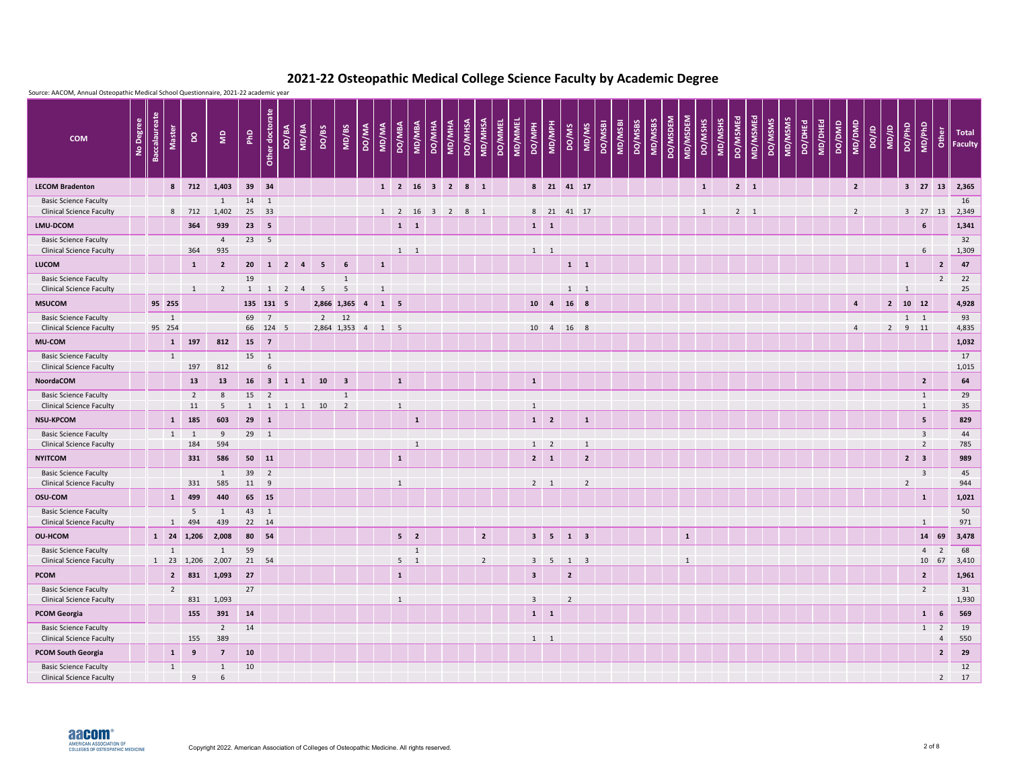

| Source: AACOM, Annual Osteopathic Medical School Questionnaire, 2021-22 academic year |           |                      |                        |                          |                       |                 |                                |                |                     |                      |                               |                         |                      |              |               |                         |                |                |                |                |                |                              |                |                                |         |         |         |                     |              |              |         |          |             |         |         |         |         |        |                |       |              |                                     |                              |                |                                                                                                         |
|---------------------------------------------------------------------------------------|-----------|----------------------|------------------------|--------------------------|-----------------------|-----------------|--------------------------------|----------------|---------------------|----------------------|-------------------------------|-------------------------|----------------------|--------------|---------------|-------------------------|----------------|----------------|----------------|----------------|----------------|------------------------------|----------------|--------------------------------|---------|---------|---------|---------------------|--------------|--------------|---------|----------|-------------|---------|---------|---------|---------|--------|----------------|-------|--------------|-------------------------------------|------------------------------|----------------|---------------------------------------------------------------------------------------------------------|
| <b>COM</b>                                                                            | No Degree | <b>Baccalaureate</b> | <b>Master</b>          | $\mathsf{S}$             | $\epsilon$            | P <sub>hD</sub> | Other doctorate                | DO/BA          | MD/BA               | DO/BS                | MD/BS                         | <b>DO/MA</b>            | MD/MA                | DO/MBA       | <b>MD/MBA</b> | DO/MHA                  | MD/MHA         | <b>DO/MHSA</b> | MD/MHSA        | <b>DO/MMEL</b> | <b>MD/MMEL</b> | HdM/aw<br><b>DO/MPH</b>      | DO/MS          | MD/MS                          | DO/MSBI | MD/MSBI | DO/MSBS | DO/MSDEM<br>MD/MSBS | MD/MSDEM     | DO/MSHS      | MD/MSHS | DO/MSMEd | MD/MSMEd    | DO/MSMS | MD/MSMS | DO/DHEd | MD/DHEd | DO/DMD | MD/DMD         | ar/oa | <b>UD/JD</b> | DO/PhD                              | MD/PhD                       |                | $\begin{array}{c c}\n\mathbf{g} & \mathsf{Total} \\ \hline\n\mathbf{g} & \mathsf{Faculty}\n\end{array}$ |
| <b>LECOM Bradenton</b>                                                                |           |                      |                        | 8 712                    | 1,403                 |                 | 39 34                          |                |                     |                      |                               |                         | $1 \quad 2$          |              | <b>16</b>     | $3 \quad 2$             |                | $8 \quad 1$    |                |                |                | $8 \qquad 21$                | 41 17          |                                |         |         |         |                     |              | $\mathbf{1}$ |         |          | $2 \mid 1$  |         |         |         |         |        | $\overline{2}$ |       |              | $3 \quad 27$                        |                              | 13             | 2,365                                                                                                   |
| <b>Basic Science Faculty</b><br><b>Clinical Science Faculty</b>                       |           |                      |                        | 8 712                    | 1<br>1,402            | 14              | $\overline{1}$<br>25 33        |                |                     |                      |                               |                         | $1 \quad 2 \quad 16$ |              |               | $\overline{\mathbf{3}}$ | $\overline{2}$ | $8 \quad 1$    |                |                |                | $8 \qquad 21$                | 41 17          |                                |         |         |         |                     |              | $\mathbf{1}$ |         |          | $2 \quad 1$ |         |         |         |         |        | $\overline{2}$ |       |              | $3 \quad 27$                        |                              | 13             | 16<br>2,349                                                                                             |
| LMU-DCOM                                                                              |           |                      |                        | 364                      | 939                   |                 | $23 \quad 5$                   |                |                     |                      |                               |                         |                      | $1 \quad 1$  |               |                         |                |                |                |                |                | $\mathbf{1}$<br>$\mathbf{1}$ |                |                                |         |         |         |                     |              |              |         |          |             |         |         |         |         |        |                |       |              |                                     | $6\overline{6}$              |                | 1,341                                                                                                   |
| <b>Basic Science Faculty</b>                                                          |           |                      |                        |                          | $\overline{4}$        | 23              | -5                             |                |                     |                      |                               |                         |                      |              |               |                         |                |                |                |                |                |                              |                |                                |         |         |         |                     |              |              |         |          |             |         |         |         |         |        |                |       |              |                                     |                              |                | 32                                                                                                      |
| <b>Clinical Science Faculty</b><br><b>LUCOM</b>                                       |           |                      |                        | 364<br>$\mathbf{1}$      | 935<br>$\overline{2}$ | 20              |                                | $1 \quad 2$    | $\overline{4}$      | $5^{\circ}$          | $6\phantom{1}$                |                         | $\mathbf{1}$         | $1 \quad 1$  |               |                         |                |                |                |                |                | $1 \quad 1$                  | $1 \quad 1$    |                                |         |         |         |                     |              |              |         |          |             |         |         |         |         |        |                |       |              | $\mathbf{1}$                        | 6 <sup>1</sup>               | $\overline{2}$ | 1,309<br>47                                                                                             |
| <b>Basic Science Faculty</b>                                                          |           |                      |                        |                          |                       | 19              |                                |                |                     |                      | 1                             |                         |                      |              |               |                         |                |                |                |                |                |                              |                |                                |         |         |         |                     |              |              |         |          |             |         |         |         |         |        |                |       |              |                                     |                              | $\overline{2}$ | 22                                                                                                      |
| <b>Clinical Science Faculty</b>                                                       |           |                      |                        |                          | $\overline{2}$        | $\mathbf{1}$    | 1                              | $\overline{2}$ | $\overline{4}$      | $5\overline{)}$      | 5                             |                         |                      |              |               |                         |                |                |                |                |                |                              | $1 \quad 1$    |                                |         |         |         |                     |              |              |         |          |             |         |         |         |         |        |                |       |              | $\mathbf{1}$                        |                              |                | 25                                                                                                      |
| <b>MSUCOM</b>                                                                         |           |                      | 95 255                 |                          |                       |                 | 135 131 5                      |                |                     | 2,866 1,365          |                               | $\overline{\mathbf{4}}$ | $1 \quad 5$          |              |               |                         |                |                |                |                |                | $10 \quad 4$                 | 16 8           |                                |         |         |         |                     |              |              |         |          |             |         |         |         |         |        | $\overline{4}$ |       |              | $2 \quad 10 \quad 12$               |                              |                | 4,928                                                                                                   |
| <b>Basic Science Faculty</b><br><b>Clinical Science Faculty</b>                       |           |                      | $\mathbf{1}$<br>95 254 |                          |                       | 69              | $\overline{7}$<br>66 124 5     |                |                     | 2,864 1,353 4        | $2 \t 12$                     |                         | $1 \quad 5$          |              |               |                         |                |                |                |                |                | 10 4                         | 16 8           |                                |         |         |         |                     |              |              |         |          |             |         |         |         |         |        |                |       |              | $1 \quad 1$<br>$2 \quad 9 \quad 11$ |                              |                | 93<br>4,835                                                                                             |
| <b>MU-COM</b>                                                                         |           |                      | $\mathbf{1}$           | 197                      | 812                   |                 | $15 \quad 7$                   |                |                     |                      |                               |                         |                      |              |               |                         |                |                |                |                |                |                              |                |                                |         |         |         |                     |              |              |         |          |             |         |         |         |         |        |                |       |              |                                     |                              |                | 1,032                                                                                                   |
| <b>Basic Science Faculty</b>                                                          |           |                      | $\mathbf{1}$           |                          |                       | 15 1            |                                |                |                     |                      |                               |                         |                      |              |               |                         |                |                |                |                |                |                              |                |                                |         |         |         |                     |              |              |         |          |             |         |         |         |         |        |                |       |              |                                     |                              |                | 17                                                                                                      |
| <b>Clinical Science Faculty</b>                                                       |           |                      |                        | 197                      | 812                   |                 | 6                              |                |                     |                      |                               |                         |                      |              |               |                         |                |                |                |                |                |                              |                |                                |         |         |         |                     |              |              |         |          |             |         |         |         |         |        |                |       |              |                                     |                              |                | 1,015                                                                                                   |
| <b>NoordaCOM</b>                                                                      |           |                      |                        | 13                       | 13                    | 16              |                                |                | $3 \quad 1 \quad 1$ | 10                   | $\overline{\phantom{a}}$ 3    |                         |                      | $\mathbf{1}$ |               |                         |                |                |                |                | $\mathbf{1}$   |                              |                |                                |         |         |         |                     |              |              |         |          |             |         |         |         |         |        |                |       |              |                                     | $\overline{2}$               |                | 64                                                                                                      |
| <b>Basic Science Faculty</b><br><b>Clinical Science Faculty</b>                       |           |                      |                        | $\overline{2}$<br>11     | 8                     | 15              | $\overline{2}$<br>$\mathbf{1}$ |                |                     | $1 \quad 1 \quad 10$ | 1<br>$\overline{\phantom{0}}$ |                         |                      | $\mathbf{1}$ |               |                         |                |                |                |                | $\mathbf{1}$   |                              |                |                                |         |         |         |                     |              |              |         |          |             |         |         |         |         |        |                |       |              |                                     | $\mathbf{1}$<br>$\mathbf{1}$ |                | 29<br>35                                                                                                |
| <b>NSU-KPCOM</b>                                                                      |           |                      | $\mathbf{1}$           | 185                      | 603                   |                 | $29 \quad 1$                   |                |                     |                      |                               |                         |                      |              | $\mathbf{1}$  |                         |                |                |                |                |                | $1 \quad 2$                  |                | $\mathbf{1}$                   |         |         |         |                     |              |              |         |          |             |         |         |         |         |        |                |       |              |                                     | 5 <sub>5</sub>               |                | 829                                                                                                     |
| <b>Basic Science Faculty</b>                                                          |           |                      | 1                      | $\overline{1}$           | 9                     | 29              | $\mathbf{1}$                   |                |                     |                      |                               |                         |                      |              |               |                         |                |                |                |                |                |                              |                |                                |         |         |         |                     |              |              |         |          |             |         |         |         |         |        |                |       |              |                                     | $\overline{\mathbf{3}}$      |                | 44                                                                                                      |
| <b>Clinical Science Faculty</b><br><b>NYITCOM</b>                                     |           |                      |                        | 184<br>331               | 594<br>586            |                 | 50 11                          |                |                     |                      |                               |                         |                      |              | $\mathbf{1}$  |                         |                |                |                |                |                | $1 \quad 2$<br>$2 \mid 1$    |                | $\mathbf{1}$<br>$\overline{2}$ |         |         |         |                     |              |              |         |          |             |         |         |         |         |        |                |       |              | $2 \mid 3$                          | $\overline{2}$               |                | 785<br>989                                                                                              |
| <b>Basic Science Faculty</b>                                                          |           |                      |                        |                          | $\mathbf{1}$          |                 | 39 2                           |                |                     |                      |                               |                         |                      | $\mathbf{1}$ |               |                         |                |                |                |                |                |                              |                |                                |         |         |         |                     |              |              |         |          |             |         |         |         |         |        |                |       |              |                                     | $\overline{\mathbf{3}}$      |                | 45                                                                                                      |
| <b>Clinical Science Faculty</b>                                                       |           |                      |                        | 331                      | 585                   | 11 9            |                                |                |                     |                      |                               |                         |                      | $\mathbf{1}$ |               |                         |                |                |                |                |                | $2 \quad 1$                  |                | $\overline{2}$                 |         |         |         |                     |              |              |         |          |             |         |         |         |         |        |                |       |              | $\overline{2}$                      |                              |                | 944                                                                                                     |
| <b>OSU-COM</b>                                                                        |           |                      |                        | 1 499                    | 440                   |                 | 65 15                          |                |                     |                      |                               |                         |                      |              |               |                         |                |                |                |                |                |                              |                |                                |         |         |         |                     |              |              |         |          |             |         |         |         |         |        |                |       |              |                                     | $\mathbf{1}$                 |                | 1,021                                                                                                   |
| <b>Basic Science Faculty</b><br><b>Clinical Science Faculty</b>                       |           |                      | 1                      | 5<br>494                 | $\overline{1}$<br>439 |                 | 43 1<br>22 14                  |                |                     |                      |                               |                         |                      |              |               |                         |                |                |                |                |                |                              |                |                                |         |         |         |                     |              |              |         |          |             |         |         |         |         |        |                |       |              |                                     | $\mathbf{1}$                 |                | 50<br>971                                                                                               |
| <b>OU-HCOM</b>                                                                        |           |                      |                        | $1 \quad 24 \quad 1,206$ | 2,008                 |                 | 80 54                          |                |                     |                      |                               |                         |                      | $5 \quad 2$  |               |                         |                |                | $\overline{2}$ |                |                | $3 \quad 5$                  | $1 \mid 3$     |                                |         |         |         |                     | $\mathbf{1}$ |              |         |          |             |         |         |         |         |        |                |       |              |                                     | 14 69                        |                | 3,478                                                                                                   |
| <b>Basic Science Faculty</b>                                                          |           |                      | $\mathbf{1}$           |                          | 1                     | 59              |                                |                |                     |                      |                               |                         |                      |              | 1             |                         |                |                |                |                |                |                              |                |                                |         |         |         |                     |              |              |         |          |             |         |         |         |         |        |                |       |              |                                     | $4\quad 2$                   |                | 68                                                                                                      |
| <b>Clinical Science Faculty</b>                                                       |           |                      |                        | $1 \quad 23 \quad 1,206$ | 2,007                 |                 | 21 54                          |                |                     |                      |                               |                         |                      | $5 \quad 1$  |               |                         |                |                | $\overline{2}$ |                |                | $3 \quad 5$                  | $1 \quad 3$    |                                |         |         |         |                     | $\mathbf{1}$ |              |         |          |             |         |         |         |         |        |                |       |              |                                     | 10 67                        |                | 3,410                                                                                                   |
| <b>PCOM</b>                                                                           |           |                      |                        | 2 831                    | 1,093 27              |                 |                                |                |                     |                      |                               |                         |                      | $\mathbf{1}$ |               |                         |                |                |                |                |                | $\overline{\mathbf{3}}$      | $\overline{2}$ |                                |         |         |         |                     |              |              |         |          |             |         |         |         |         |        |                |       |              |                                     | $\overline{2}$               |                | 1,961                                                                                                   |
| <b>Basic Science Faculty</b><br><b>Clinical Science Faculty</b>                       |           |                      | 2                      |                          | 831 1,093             | 27              |                                |                |                     |                      |                               |                         |                      | $\mathbf{1}$ |               |                         |                |                |                |                |                | $\overline{3}$               | $\sqrt{2}$     |                                |         |         |         |                     |              |              |         |          |             |         |         |         |         |        |                |       |              |                                     | $\overline{2}$               |                | 31<br>1,930                                                                                             |
| <b>PCOM Georgia</b>                                                                   |           |                      |                        | 155                      | 391                   | 14              |                                |                |                     |                      |                               |                         |                      |              |               |                         |                |                |                |                |                | $1 \quad 1$                  |                |                                |         |         |         |                     |              |              |         |          |             |         |         |         |         |        |                |       |              |                                     | $\vert 1 \vert$              | $6\phantom{1}$ | 569                                                                                                     |
| <b>Basic Science Faculty</b><br><b>Clinical Science Faculty</b>                       |           |                      |                        | 155                      | $2^{\circ}$<br>389    | 14              |                                |                |                     |                      |                               |                         |                      |              |               |                         |                |                |                |                |                | $1 \quad 1$                  |                |                                |         |         |         |                     |              |              |         |          |             |         |         |         |         |        |                |       |              |                                     | $1 \quad 2$                  | $\overline{4}$ | 19<br>550                                                                                               |
| <b>PCOM South Georgia</b>                                                             |           |                      | $\mathbf{1}$           | 9                        | $\overline{7}$        | 10              |                                |                |                     |                      |                               |                         |                      |              |               |                         |                |                |                |                |                |                              |                |                                |         |         |         |                     |              |              |         |          |             |         |         |         |         |        |                |       |              |                                     |                              | $\overline{2}$ | 29                                                                                                      |
| <b>Basic Science Faculty</b>                                                          |           |                      | 1                      |                          | $\mathbf{1}$          | 10              |                                |                |                     |                      |                               |                         |                      |              |               |                         |                |                |                |                |                |                              |                |                                |         |         |         |                     |              |              |         |          |             |         |         |         |         |        |                |       |              |                                     |                              |                | 12                                                                                                      |
| <b>Clinical Science Faculty</b>                                                       |           |                      |                        | 9                        | 6                     |                 |                                |                |                     |                      |                               |                         |                      |              |               |                         |                |                |                |                |                |                              |                |                                |         |         |         |                     |              |              |         |          |             |         |         |         |         |        |                |       |              |                                     |                              |                | $2 \mid 17$                                                                                             |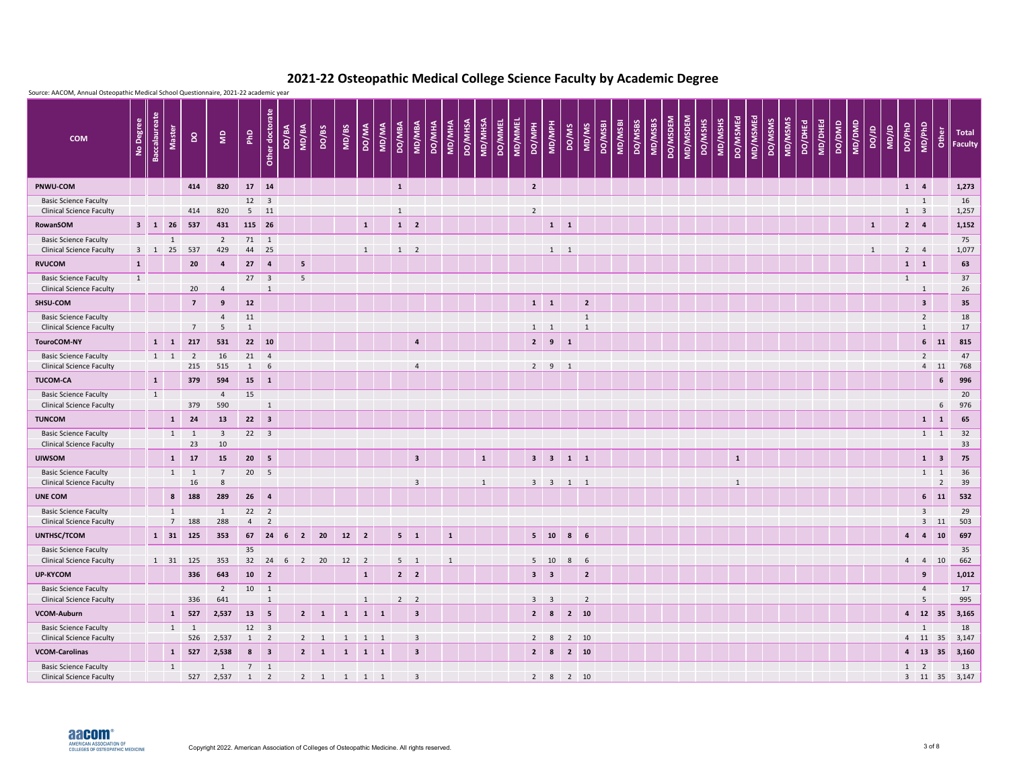

|                                                                                 |            |                                       | Source: AACOM, Annual Osteopathic Medical School Questionnaire, 2021-22 academic year |                      |                            |                         |                                            |                                         |              |                             |                 |                                        |                         |              |                |              |         |                |                               |                          |                                |                |                    |         |                     |          |         |         |                 |          |                    |                |         |        |        |              |                        |                                |                |                                     |
|---------------------------------------------------------------------------------|------------|---------------------------------------|---------------------------------------------------------------------------------------|----------------------|----------------------------|-------------------------|--------------------------------------------|-----------------------------------------|--------------|-----------------------------|-----------------|----------------------------------------|-------------------------|--------------|----------------|--------------|---------|----------------|-------------------------------|--------------------------|--------------------------------|----------------|--------------------|---------|---------------------|----------|---------|---------|-----------------|----------|--------------------|----------------|---------|--------|--------|--------------|------------------------|--------------------------------|----------------|-------------------------------------|
| No Degree<br><b>COM</b>                                                         |            | <b>Baccalaureate</b><br><b>Master</b> | $\mathsf{S}$                                                                          | $\mathsf{S}$         | P <sub>hD</sub>            | Other doctorate         | MD/BA<br>DO/BA                             | DO/BS                                   | MD/BS        | <b>DO/MA</b>                | DO/MBA<br>MD/MA |                                        | <b>MD/MBA</b><br>DO/MHA | MD/MHA       | <b>DO/MHSA</b> | MD/MHSA      | DO/MMEL | <b>MD/MMEL</b> | <b>HdM/Od</b>                 | MD/MPH                   | MD/MS<br>DO/MS                 |                | MD/MSBI<br>DO/MSBI | DO/MSBS | DO/MSDEM<br>MD/MSBS | MD/MSDEM | DO/MSHS | MD/MSHS | <b>DO/MSMEd</b> | MD/MSMEd | MD/MSMS<br>DO/MSMS | <b>DO/DHEd</b> | MD/DHEd | DO/DMD | MD/DMD | ar/oa        | DO/PhD<br><b>UD/JD</b> | MD/PhD                         | Other          | <b>Total</b><br>$\parallel$ Faculty |
| PNWU-COM                                                                        |            |                                       | 414                                                                                   | 820                  | 17 14                      |                         |                                            |                                         |              |                             | $\mathbf{1}$    |                                        |                         |              |                |              |         |                | $\overline{2}$                |                          |                                |                |                    |         |                     |          |         |         |                 |          |                    |                |         |        |        |              |                        | $1 \quad 4$                    |                | 1,273                               |
| <b>Basic Science Faculty</b><br><b>Clinical Science Faculty</b>                 |            |                                       | 414                                                                                   | 820                  | $12 \quad 3$               | $5 \quad 11$            |                                            |                                         |              |                             | $\mathbf{1}$    |                                        |                         |              |                |              |         |                | $\overline{2}$                |                          |                                |                |                    |         |                     |          |         |         |                 |          |                    |                |         |        |        |              |                        | $\mathbf{1}$<br>$1 \quad 3$    |                | 16<br>1,257                         |
| <b>RowanSOM</b>                                                                 |            | $3 \mid 1 \mid 26$                    | 537                                                                                   | 431                  | 115 26                     |                         |                                            |                                         |              | $\mathbf{1}$                |                 | $1 \quad 2$                            |                         |              |                |              |         |                |                               | $1 \quad 1$              |                                |                |                    |         |                     |          |         |         |                 |          |                    |                |         |        |        | $\mathbf{1}$ |                        | $2 \mid 4$                     |                | 1,152                               |
| <b>Basic Science Faculty</b>                                                    |            | $\mathbf{1}$                          |                                                                                       | $\overline{2}$       | 71 1                       |                         |                                            |                                         |              |                             |                 |                                        |                         |              |                |              |         |                |                               |                          |                                |                |                    |         |                     |          |         |         |                 |          |                    |                |         |        |        |              |                        |                                |                | 75                                  |
| <b>Clinical Science Faculty</b>                                                 | $3 \mid 1$ | 25                                    | 537                                                                                   | 429                  | 44 25                      |                         |                                            |                                         |              | $\mathbf{1}$                |                 | $1\quad 2$                             |                         |              |                |              |         |                |                               | $1 \quad 1$              |                                |                |                    |         |                     |          |         |         |                 |          |                    |                |         |        |        | $\mathbf{1}$ |                        | $2 \qquad 4$                   |                | 1,077                               |
| <b>RVUCOM</b><br>$\mathbf{1}$<br><b>Basic Science Faculty</b><br>$\overline{1}$ |            |                                       | 20                                                                                    | $\overline{4}$       | 27<br>$27 \quad 3$         | $\overline{4}$          | $\overline{\mathbf{5}}$<br>$5\phantom{.0}$ |                                         |              |                             |                 |                                        |                         |              |                |              |         |                |                               |                          |                                |                |                    |         |                     |          |         |         |                 |          |                    |                |         |        |        |              |                        | $1 \quad 1$<br>1               |                | 63<br>37                            |
| <b>Clinical Science Faculty</b>                                                 |            |                                       | 20                                                                                    | $\overline{4}$       |                            | $\mathbf{1}$            |                                            |                                         |              |                             |                 |                                        |                         |              |                |              |         |                |                               |                          |                                |                |                    |         |                     |          |         |         |                 |          |                    |                |         |        |        |              |                        | $\mathbf{1}$                   |                | 26                                  |
| SHSU-COM                                                                        |            |                                       | $\overline{7}$                                                                        | 9                    | 12                         |                         |                                            |                                         |              |                             |                 |                                        |                         |              |                |              |         |                | $1 \quad 1$                   |                          |                                | $\mathbf{2}$   |                    |         |                     |          |         |         |                 |          |                    |                |         |        |        |              |                        | 3 <sup>1</sup>                 |                | 35                                  |
| <b>Basic Science Faculty</b><br><b>Clinical Science Faculty</b>                 |            |                                       | $\overline{7}$                                                                        | $\overline{4}$<br>-5 | 11<br>$\mathbf{1}$         |                         |                                            |                                         |              |                             |                 |                                        |                         |              |                |              |         |                | $1 \quad 1$                   |                          | $\mathbf{1}$                   | $\mathbf{1}$   |                    |         |                     |          |         |         |                 |          |                    |                |         |        |        |              |                        | $\overline{2}$<br>$\mathbf{1}$ |                | 18<br>17                            |
| <b>TouroCOM-NY</b>                                                              |            | $1 \quad 1$                           | 217                                                                                   | 531                  | 22 10                      |                         |                                            |                                         |              |                             |                 |                                        | $\overline{a}$          |              |                |              |         |                | $2^{\circ}$                   | 9<br>$\mathbf{1}$        |                                |                |                    |         |                     |          |         |         |                 |          |                    |                |         |        |        |              |                        | 6 <sup>1</sup>                 | -11            | 815                                 |
| <b>Basic Science Faculty</b>                                                    |            | $1 \quad 1$                           | 2                                                                                     | 16                   | $21 \t 4$                  |                         |                                            |                                         |              |                             |                 |                                        |                         |              |                |              |         |                |                               |                          |                                |                |                    |         |                     |          |         |         |                 |          |                    |                |         |        |        |              |                        | $\overline{2}$                 |                | 47                                  |
| <b>Clinical Science Faculty</b><br><b>TUCOM-CA</b>                              |            | $\mathbf{1}$                          | 215<br>379                                                                            | 515<br>594           | 1<br>15                    | 6<br>$\mathbf{1}$       |                                            |                                         |              |                             |                 |                                        | $\overline{4}$          |              |                |              |         |                | $2 \quad 9$                   | $\overline{\phantom{0}}$ |                                |                |                    |         |                     |          |         |         |                 |          |                    |                |         |        |        |              |                        |                                | $4$ 11<br>6    | 768<br>996                          |
| <b>Basic Science Faculty</b>                                                    |            | $\mathbf{1}$                          |                                                                                       | $\overline{4}$       | 15                         |                         |                                            |                                         |              |                             |                 |                                        |                         |              |                |              |         |                |                               |                          |                                |                |                    |         |                     |          |         |         |                 |          |                    |                |         |        |        |              |                        |                                |                | 20                                  |
| <b>Clinical Science Faculty</b>                                                 |            |                                       | 379                                                                                   | 590                  |                            | $\mathbf{1}$            |                                            |                                         |              |                             |                 |                                        |                         |              |                |              |         |                |                               |                          |                                |                |                    |         |                     |          |         |         |                 |          |                    |                |         |        |        |              |                        |                                | 6              | 976                                 |
| <b>TUNCOM</b>                                                                   |            | $\mathbf{1}$                          | 24                                                                                    | 13                   | $22 \quad 3$               |                         |                                            |                                         |              |                             |                 |                                        |                         |              |                |              |         |                |                               |                          |                                |                |                    |         |                     |          |         |         |                 |          |                    |                |         |        |        |              |                        | $\mathbf{1}$                   | <sup>1</sup>   | 65                                  |
| <b>Basic Science Faculty</b><br><b>Clinical Science Faculty</b>                 |            | 1                                     | $\overline{1}$<br>23                                                                  | $\overline{3}$<br>10 | 22                         | $\overline{\mathbf{3}}$ |                                            |                                         |              |                             |                 |                                        |                         |              |                |              |         |                |                               |                          |                                |                |                    |         |                     |          |         |         |                 |          |                    |                |         |        |        |              |                        |                                | $1 \quad 1$    | 32<br>33                            |
| <b>UIWSOM</b>                                                                   |            |                                       | $1 \quad 17$                                                                          | 15                   | $20 \quad 5$               |                         |                                            |                                         |              |                             |                 |                                        | $\overline{\mathbf{3}}$ |              |                | $\mathbf{1}$ |         |                |                               |                          | $3 \quad 3 \quad 1 \quad 1$    |                |                    |         |                     |          |         |         | $\mathbf{1}$    |          |                    |                |         |        |        |              |                        |                                | $1 \quad 3$    | 75                                  |
| <b>Basic Science Faculty</b>                                                    |            |                                       | $1 \quad 1$                                                                           | $\overline{7}$       | 20 5                       |                         |                                            |                                         |              |                             |                 |                                        |                         |              |                |              |         |                |                               |                          |                                |                |                    |         |                     |          |         |         |                 |          |                    |                |         |        |        |              |                        |                                | $1 \quad 1$    | 36                                  |
| <b>Clinical Science Faculty</b>                                                 |            |                                       | 16                                                                                    | 8                    |                            |                         |                                            |                                         |              |                             |                 |                                        | $\overline{3}$          |              |                | $\mathbf{1}$ |         |                |                               |                          | $3 \quad 3 \quad 1 \quad 1$    |                |                    |         |                     |          |         |         | $\mathbf{1}$    |          |                    |                |         |        |        |              |                        |                                | $\overline{2}$ | 39                                  |
| <b>UNE COM</b><br><b>Basic Science Faculty</b>                                  |            | 1                                     | 8 188                                                                                 | 289<br>1             | $26 \t 4$<br>$22 \quad 2$  |                         |                                            |                                         |              |                             |                 |                                        |                         |              |                |              |         |                |                               |                          |                                |                |                    |         |                     |          |         |         |                 |          |                    |                |         |        |        |              |                        | $\overline{3}$                 | $6 \quad 11$   | 532<br>29                           |
| <b>Clinical Science Faculty</b>                                                 |            | $7\overline{ }$                       | 188                                                                                   | 288                  | $4\quad 2$                 |                         |                                            |                                         |              |                             |                 |                                        |                         |              |                |              |         |                |                               |                          |                                |                |                    |         |                     |          |         |         |                 |          |                    |                |         |        |        |              |                        |                                | $3$ 11         | 503                                 |
| UNTHSC/TCOM                                                                     |            |                                       | 1 31 125                                                                              | 353                  |                            | 67 24 6 2               |                                            | 20                                      | $12 \quad 2$ |                             |                 | $5 \quad 1$                            |                         | $\mathbf{1}$ |                |              |         |                | $5 \quad 10$                  |                          | $8 \t 6$                       |                |                    |         |                     |          |         |         |                 |          |                    |                |         |        |        |              |                        | $4 \quad 4 \quad 10$           |                | 697                                 |
| <b>Basic Science Faculty</b><br><b>Clinical Science Faculty</b>                 |            |                                       | $1 \quad 31 \quad 125$                                                                | 353                  | 35<br>32                   | 24                      | $6 \quad 2$                                | 20                                      | $12 \quad 2$ |                             |                 | $5 \quad 1$                            |                         | 1            |                |              |         |                | $5 \quad 10$                  |                          | $8 \t 6$                       |                |                    |         |                     |          |         |         |                 |          |                    |                |         |        |        |              |                        | 4 4 10                         |                | 35<br>662                           |
| <b>UP-KYCOM</b>                                                                 |            |                                       | 336                                                                                   | 643                  | $10 \quad 2$               |                         |                                            |                                         |              | $\mathbf{1}$                |                 | $2 \mid 2 \mid$                        |                         |              |                |              |         |                | $3 \mid 3$                    |                          |                                | $\overline{2}$ |                    |         |                     |          |         |         |                 |          |                    |                |         |        |        |              |                        | 9                              |                | 1,012                               |
| <b>Basic Science Faculty</b>                                                    |            |                                       |                                                                                       | $2^{\circ}$          | $10 \qquad 1$              |                         |                                            |                                         |              |                             |                 |                                        |                         |              |                |              |         |                |                               |                          |                                |                |                    |         |                     |          |         |         |                 |          |                    |                |         |        |        |              |                        | $\overline{4}$                 |                | 17                                  |
| <b>Clinical Science Faculty</b><br>VCOM-Auburn                                  |            |                                       | 336<br>$1 \quad 527$                                                                  | 641<br>2,537         | $13 \quad 5$               | $\mathbf{1}$            |                                            | $2 \mid 1$                              | $\mathbf{1}$ | $\mathbf{1}$<br>$1 \quad 1$ |                 | $2 \quad 2$<br>$\overline{\mathbf{3}}$ |                         |              |                |              |         |                | $3 \quad 3$<br>$\overline{2}$ | 8                        | $\overline{2}$<br>$2 \quad 10$ |                |                    |         |                     |          |         |         |                 |          |                    |                |         |        |        |              |                        | $5\phantom{.}$<br>4 12 35      |                | 995<br>3,165                        |
| <b>Basic Science Faculty</b>                                                    |            |                                       | $1 \quad 1$                                                                           |                      | $12 \quad 3$               |                         |                                            |                                         |              |                             |                 |                                        |                         |              |                |              |         |                |                               |                          |                                |                |                    |         |                     |          |         |         |                 |          |                    |                |         |        |        |              |                        | 1                              |                | 18                                  |
| <b>Clinical Science Faculty</b>                                                 |            |                                       | 526                                                                                   | 2,537                | $1 \quad 2$                |                         | $2^{\circ}$                                | $\overline{\mathbf{1}}$                 | $\mathbf{1}$ | $1 \quad 1$                 |                 |                                        | $\overline{\mathbf{3}}$ |              |                |              |         |                | $2 \quad 8$                   |                          | $2 \quad 10$                   |                |                    |         |                     |          |         |         |                 |          |                    |                |         |        |        |              |                        | 4 11 35                        |                | 3,147                               |
| <b>VCOM-Carolinas</b>                                                           |            |                                       | $1 \quad 527$                                                                         | 2,538                | $8 \mid 3$                 |                         |                                            | $2 \mid 1$                              | $\mathbf{1}$ | $1 \quad 1$                 |                 |                                        | $\overline{\mathbf{3}}$ |              |                |              |         |                | $2 \mid 8$                    |                          | $2 \quad 10$                   |                |                    |         |                     |          |         |         |                 |          |                    |                |         |        |        |              |                        |                                |                | 4 13 35 3,160                       |
| <b>Basic Science Faculty</b><br><b>Clinical Science Faculty</b>                 |            | 1                                     | 527                                                                                   | 1<br>2,537           | $7 \quad 1$<br>$1 \quad 2$ |                         |                                            | $2 \qquad 1 \qquad 1 \qquad 1 \qquad 1$ |              |                             |                 |                                        | $\overline{\mathbf{3}}$ |              |                |              |         |                |                               |                          | 2 8 2 10                       |                |                    |         |                     |          |         |         |                 |          |                    |                |         |        |        |              |                        | $1 \quad 2$                    |                | 13<br>3 11 35 3,147                 |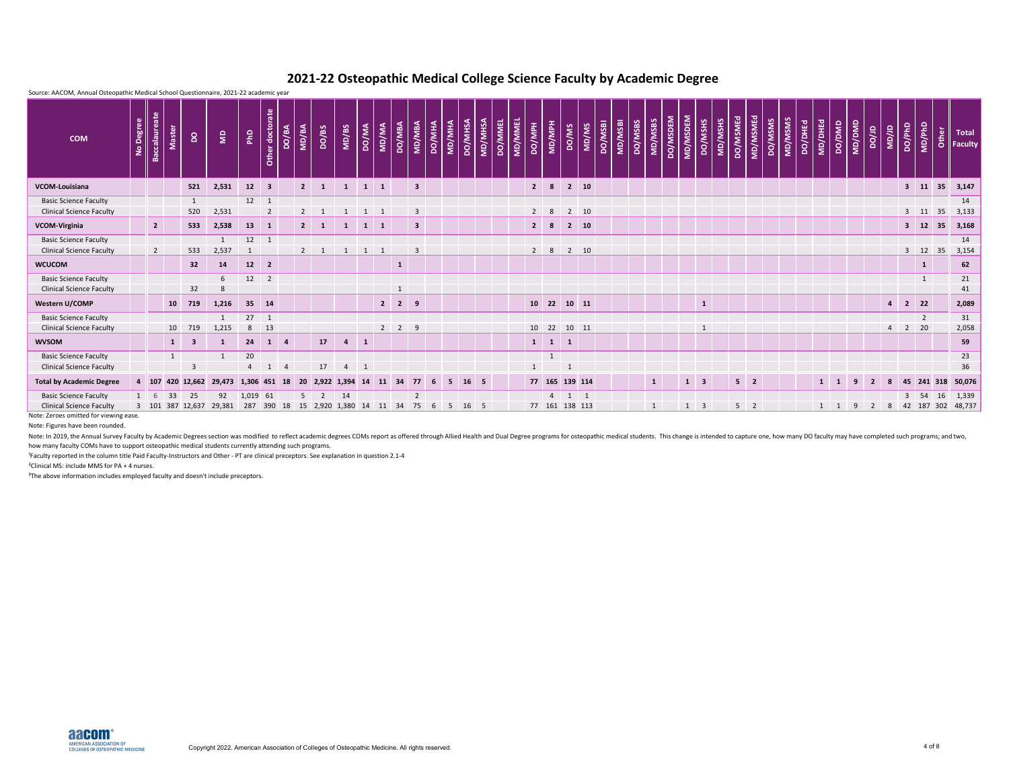| Source: AACOM, Annual Osteopathic Medical School Questionnaire, 2021-22 academic year |           |                      |                  |                         |                  |                |                         |              |                |                      |                |                |                |                     |                         |        |        |                 |         |                |              |                |                     |                     |       |                |         |         |                     |          |                         |         |          |                |         |                |         |              |                |              |                          |                |                            |                       |    |                                              |
|---------------------------------------------------------------------------------------|-----------|----------------------|------------------|-------------------------|------------------|----------------|-------------------------|--------------|----------------|----------------------|----------------|----------------|----------------|---------------------|-------------------------|--------|--------|-----------------|---------|----------------|--------------|----------------|---------------------|---------------------|-------|----------------|---------|---------|---------------------|----------|-------------------------|---------|----------|----------------|---------|----------------|---------|--------------|----------------|--------------|--------------------------|----------------|----------------------------|-----------------------|----|----------------------------------------------|
| <b>COM</b>                                                                            | No Degree | <b>Baccalaureate</b> | <b>Master</b>    | $\mathsf{S}$            | $\epsilon$       | PhD            | Other doctorate         | <b>ABVOO</b> | MD/BA          | DO/BS                | MD/BS          | <b>DO/MA</b>   | MD/MA          | DO/MBA              | <b>MD/MBA</b>           | DO/MHA | MD/MHA | <b>DO/MHSA</b>  | MD/MHSA | <b>DO/MMEL</b> | MD/MMEL      | <b>HdM/Od</b>  | HdM/QM              | DO/MS               | MD/MS | <b>DO/MSBI</b> | MD/MSBI | DO/MSBS | DO/MSDEM<br>MD/MSBS | MD/MSDEM | DO/MSHS                 | MD/MSHS | DO/MSMEd | MD/MSMEd       | DO/MSMS | <u>ND/MSMS</u> | DO/DHEd | MD/DHEd      | DO/DMD         | MD/DMD       | ar/oa                    | <b>UD/JD</b>   | DO/PhD                     | MD/PhD                |    | $\frac{b}{c}$ Total<br>$\frac{c}{c}$ Faculty |
| VCOM-Louisiana                                                                        |           |                      |                  | 521                     | 2,531            | 12             | $\blacksquare$ 3        |              | $\overline{2}$ | $\mathbf{1}$         | $\mathbf{1}$   | $1 \quad 1$    |                |                     | $\overline{\mathbf{3}}$ |        |        |                 |         |                |              | $\overline{2}$ | 8                   | $2 \quad 10$        |       |                |         |         |                     |          |                         |         |          |                |         |                |         |              |                |              |                          |                | $3 \quad 11$               |                       | 35 | 3,147                                        |
| <b>Basic Science Faculty</b>                                                          |           |                      |                  | $\mathbf{1}$            |                  | $12 \qquad 1$  |                         |              |                |                      |                |                |                |                     |                         |        |        |                 |         |                |              |                |                     |                     |       |                |         |         |                     |          |                         |         |          |                |         |                |         |              |                |              |                          |                |                            |                       |    | 14                                           |
| <b>Clinical Science Faculty</b>                                                       |           |                      |                  | 520                     | 2,531            |                | $2^{\circ}$             |              | $2^{\circ}$    |                      |                | 1 1            |                |                     | $\overline{3}$          |        |        |                 |         |                |              | $2 \quad 8$    |                     | $2 \qquad 10$       |       |                |         |         |                     |          |                         |         |          |                |         |                |         |              |                |              |                          |                |                            | $3 \quad 11 \quad 35$ |    | 3,133                                        |
| VCOM-Virginia                                                                         |           | $\overline{2}$       |                  | 533                     | 2,538            | 13             | $\mathbf{1}$            |              | $2^{\circ}$    | $\mathbf{1}$         | $\mathbf{1}$   | $\mathbf{1}$   | $\blacksquare$ |                     | $\overline{\mathbf{3}}$ |        |        |                 |         |                |              | $\overline{2}$ | 8                   | $2 \quad 10$        |       |                |         |         |                     |          |                         |         |          |                |         |                |         |              |                |              |                          |                |                            | 3 12 35               |    | 3,168                                        |
| <b>Basic Science Faculty</b>                                                          |           |                      |                  |                         | $\mathbf{1}$     | $12 \quad 1$   |                         |              |                |                      |                |                |                |                     |                         |        |        |                 |         |                |              |                |                     |                     |       |                |         |         |                     |          |                         |         |          |                |         |                |         |              |                |              |                          |                |                            |                       |    | 14                                           |
| <b>Clinical Science Faculty</b>                                                       |           | $\overline{2}$       |                  | 533                     | 2,537            |                |                         |              | $2 \quad 1$    |                      |                | $\overline{1}$ | $\blacksquare$ |                     | $\overline{3}$          |        |        |                 |         |                |              | $2 \quad 8$    |                     | $2 \quad 10$        |       |                |         |         |                     |          |                         |         |          |                |         |                |         |              |                |              |                          |                |                            | $3 \quad 12 \quad 35$ |    | 3,154                                        |
| <b>WCUCOM</b>                                                                         |           |                      |                  | 32                      | 14               | 12             | $\overline{\mathbf{2}}$ |              |                |                      |                |                |                | $\mathbf{1}$        |                         |        |        |                 |         |                |              |                |                     |                     |       |                |         |         |                     |          |                         |         |          |                |         |                |         |              |                |              |                          |                |                            | $\mathbf{1}$          |    | 62                                           |
| <b>Basic Science Faculty</b>                                                          |           |                      |                  |                         | 6                | $12 \quad 2$   |                         |              |                |                      |                |                |                |                     |                         |        |        |                 |         |                |              |                |                     |                     |       |                |         |         |                     |          |                         |         |          |                |         |                |         |              |                |              |                          |                |                            | $\mathbf{1}$          |    | 21                                           |
| <b>Clinical Science Faculty</b>                                                       |           |                      |                  | 32                      | 8                |                |                         |              |                |                      |                |                |                | $\mathbf{1}$        |                         |        |        |                 |         |                |              |                |                     |                     |       |                |         |         |                     |          |                         |         |          |                |         |                |         |              |                |              |                          |                |                            |                       |    | 41                                           |
| Western U/COMP                                                                        |           |                      | 10               | 719                     | 1,216            | 35 14          |                         |              |                |                      |                |                |                | $2 \quad 2 \quad 9$ |                         |        |        |                 |         |                |              |                |                     | 10 22 10 11         |       |                |         |         |                     |          | $\mathbf{1}$            |         |          |                |         |                |         |              |                |              |                          |                | $4$ 2 22                   |                       |    | 2,089                                        |
| <b>Basic Science Faculty</b>                                                          |           |                      |                  |                         | $\mathbf{1}$     | $27 \quad 1$   |                         |              |                |                      |                |                |                |                     |                         |        |        |                 |         |                |              |                |                     |                     |       |                |         |         |                     |          |                         |         |          |                |         |                |         |              |                |              |                          |                |                            | $\overline{2}$        |    | 31                                           |
| <b>Clinical Science Faculty</b>                                                       |           |                      | 10               | 719                     | 1,215            | 8              | 13                      |              |                |                      |                |                |                | $2 \quad 2$         | 9                       |        |        |                 |         |                |              | 10 22          |                     | 10 11               |       |                |         |         |                     |          | $\mathbf{1}$            |         |          |                |         |                |         |              |                |              |                          | $\overline{4}$ | $\overline{\phantom{a}}$ 2 | 20                    |    | 2,058                                        |
| <b>WVSOM</b>                                                                          |           |                      | $\vert$ 1        | $\overline{\mathbf{3}}$ | 1                | 24             | $1 \quad 4$             |              |                | 17                   | $\overline{4}$ | $\vert$ 1      |                |                     |                         |        |        |                 |         |                |              |                | $1 \quad 1 \quad 1$ |                     |       |                |         |         |                     |          |                         |         |          |                |         |                |         |              |                |              |                          |                |                            |                       |    | 59                                           |
| <b>Basic Science Faculty</b>                                                          |           |                      | $\mathbf{1}$     |                         |                  | 20             |                         |              |                |                      |                |                |                |                     |                         |        |        |                 |         |                |              |                |                     |                     |       |                |         |         |                     |          |                         |         |          |                |         |                |         |              |                |              |                          |                |                            |                       |    | 23                                           |
| <b>Clinical Science Faculty</b>                                                       |           |                      |                  | $\mathbf{R}$            |                  | $\overline{a}$ |                         |              |                | 17                   | $\overline{4}$ |                |                |                     |                         |        |        |                 |         |                | $\mathbf{1}$ |                |                     |                     |       |                |         |         |                     |          |                         |         |          |                |         |                |         |              |                |              |                          |                |                            |                       |    | 36                                           |
| <b>Total by Academic Degree</b>                                                       |           | 4 107                | 420 12,662       |                         | 29,473 1,306 451 |                |                         | <b>18</b>    | - 20           | 2,922 1,394          |                | 14             |                | 34                  | 77                      | 6      | -5     | 16 <sub>5</sub> |         |                |              |                |                     | 77 165 139 114      |       |                |         |         |                     | 1        | $\overline{\mathbf{3}}$ |         |          | $5 \quad 2$    |         |                |         | $\mathbf{1}$ | $\blacksquare$ | $\mathbf{q}$ | $\overline{\phantom{a}}$ | 8              |                            | 45 241 318            |    | 50,076                                       |
| <b>Basic Science Faculty</b>                                                          |           | $1 \quad 6$          | 33               | 25                      | 92               | 1,019 61       |                         |              | $5^{\circ}$    | $\overline{2}$       | 14             |                |                |                     | $\overline{2}$          |        |        |                 |         |                |              |                |                     | $4 \quad 1 \quad 1$ |       |                |         |         |                     |          |                         |         |          |                |         |                |         |              |                |              |                          |                | 3 54                       |                       | 16 | 1,339                                        |
| <b>Clinical Science Faculty</b>                                                       |           |                      | 3 101 387 12,637 |                         | 29,381           | 287            | 390                     |              |                | 18  15  2,920  1,380 |                | 14             | 11             | 34                  | 75                      |        | -5     | 16 5            |         |                |              |                |                     | 77 161 138 113      |       |                |         |         |                     |          | $1 \quad 3$             |         |          | 5 <sup>2</sup> |         |                |         |              |                |              |                          | 8              |                            |                       |    | 42 187 302 48,737                            |

Note: In 2019, the Annual Survey Faculty by Academic Degrees section was modified to reflect academic degrees COMs report as offered through Allied Health and Dual Degree programs for osteopathic medical students. This cha how many faculty COMs have to support osteopathic medical students currently attending such programs.

<sup>1</sup>Faculty reported in the column title Paid Faculty-Instructors and Other - PT are clinical preceptors. See explanation in question 2.1-4

²Clinical MS: include MMS for PA + 4 nurses.

<sup>3</sup>The above information includes employed faculty and doesn't include preceptors.

Note: Zeroes omitted for viewing ease.

Note: Figures have been rounded.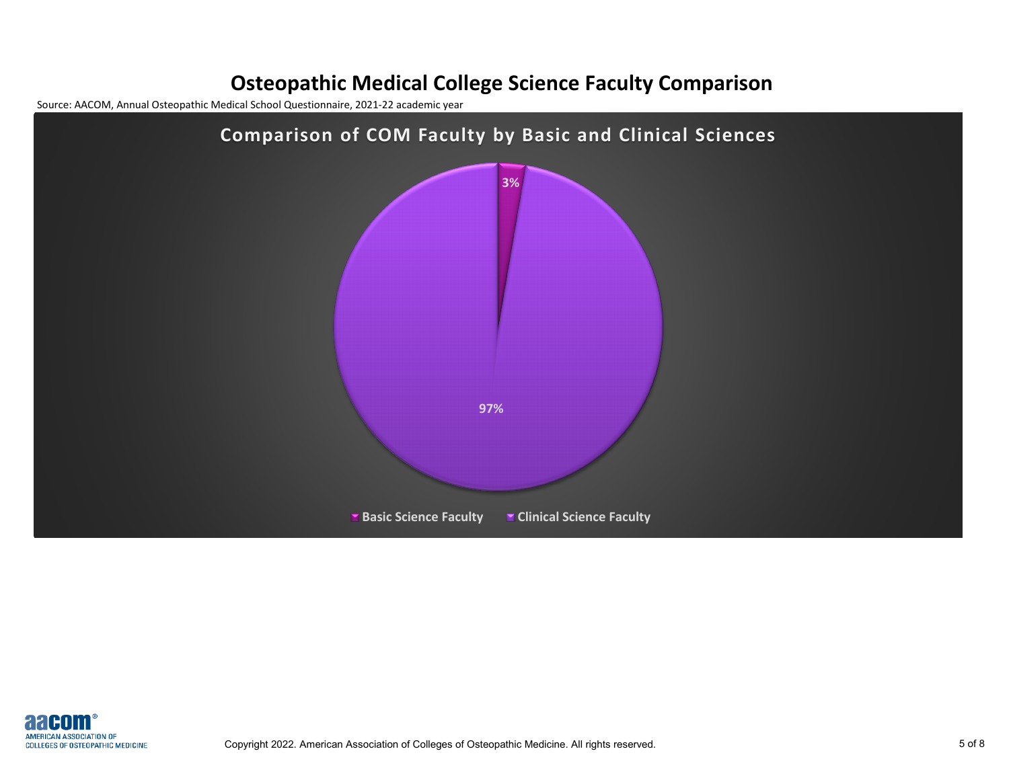## **Osteopathic Medical College Science Faculty Comparison**

Source: AACOM, Annual Osteopathic Medical School Questionnaire, 2021-22 academic year



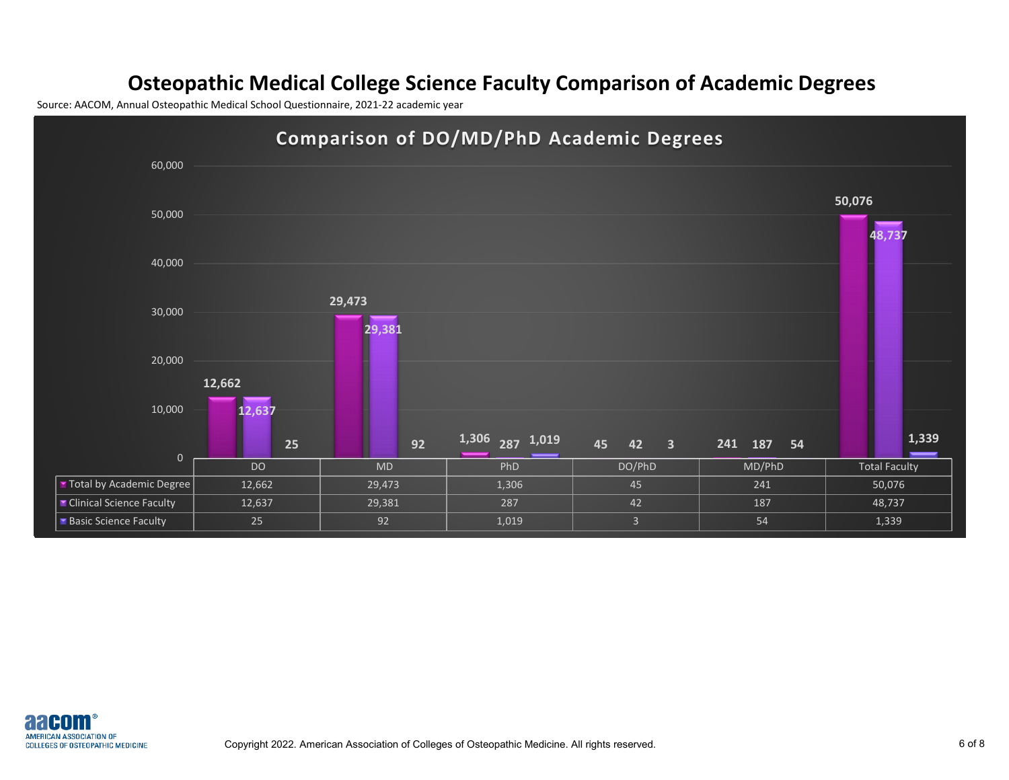## **Osteopathic Medical College Science Faculty Comparison of Academic Degrees**

Source: AACOM, Annual Osteopathic Medical School Questionnaire, 2021-22 academic year



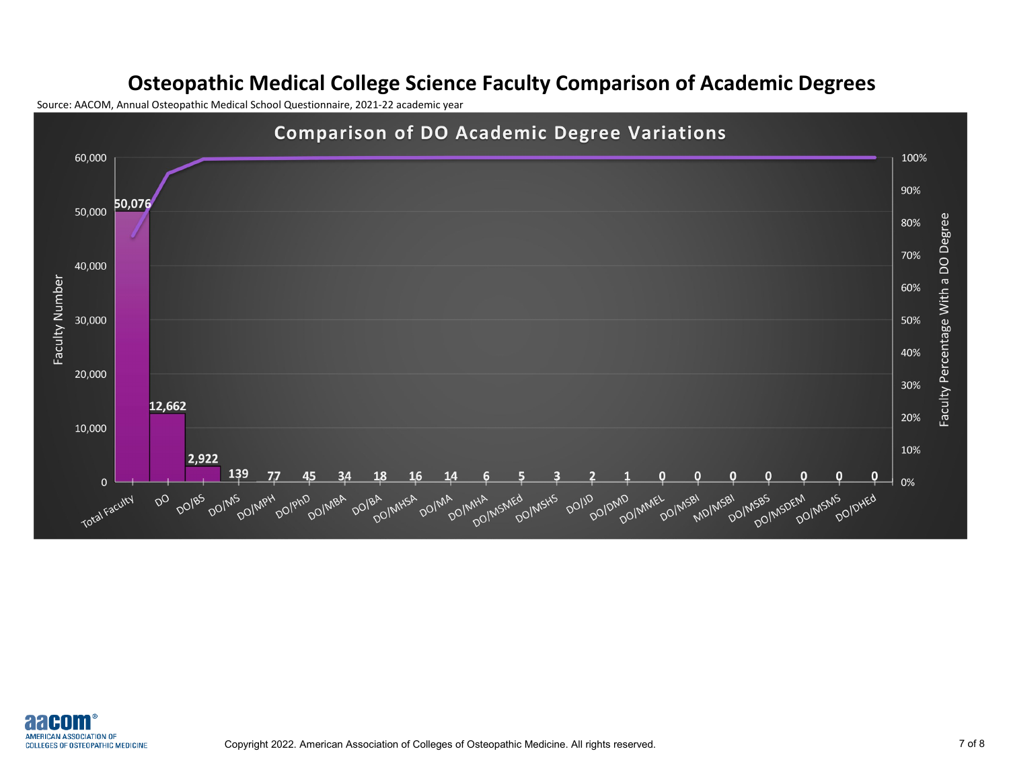## **Osteopathic Medical College Science Faculty Comparison of Academic Degrees**

Source: AACOM, Annual Osteopathic Medical School Questionnaire, 2021-22 academic year